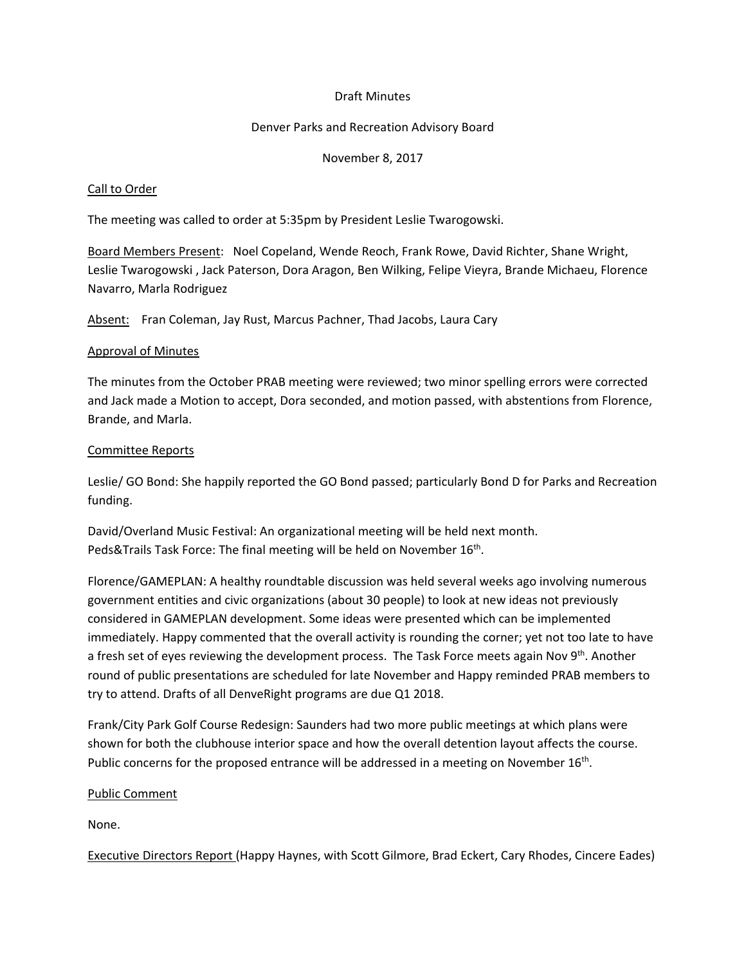# Draft Minutes

## Denver Parks and Recreation Advisory Board

### November 8, 2017

### Call to Order

The meeting was called to order at 5:35pm by President Leslie Twarogowski.

Board Members Present: Noel Copeland, Wende Reoch, Frank Rowe, David Richter, Shane Wright, Leslie Twarogowski , Jack Paterson, Dora Aragon, Ben Wilking, Felipe Vieyra, Brande Michaeu, Florence Navarro, Marla Rodriguez

Absent: Fran Coleman, Jay Rust, Marcus Pachner, Thad Jacobs, Laura Cary

### Approval of Minutes

The minutes from the October PRAB meeting were reviewed; two minor spelling errors were corrected and Jack made a Motion to accept, Dora seconded, and motion passed, with abstentions from Florence, Brande, and Marla.

### Committee Reports

Leslie/ GO Bond: She happily reported the GO Bond passed; particularly Bond D for Parks and Recreation funding.

David/Overland Music Festival: An organizational meeting will be held next month. Peds&Trails Task Force: The final meeting will be held on November 16<sup>th</sup>.

Florence/GAMEPLAN: A healthy roundtable discussion was held several weeks ago involving numerous government entities and civic organizations (about 30 people) to look at new ideas not previously considered in GAMEPLAN development. Some ideas were presented which can be implemented immediately. Happy commented that the overall activity is rounding the corner; yet not too late to have a fresh set of eyes reviewing the development process. The Task Force meets again Nov 9<sup>th</sup>. Another round of public presentations are scheduled for late November and Happy reminded PRAB members to try to attend. Drafts of all DenveRight programs are due Q1 2018.

Frank/City Park Golf Course Redesign: Saunders had two more public meetings at which plans were shown for both the clubhouse interior space and how the overall detention layout affects the course. Public concerns for the proposed entrance will be addressed in a meeting on November  $16<sup>th</sup>$ .

# Public Comment

None.

Executive Directors Report (Happy Haynes, with Scott Gilmore, Brad Eckert, Cary Rhodes, Cincere Eades)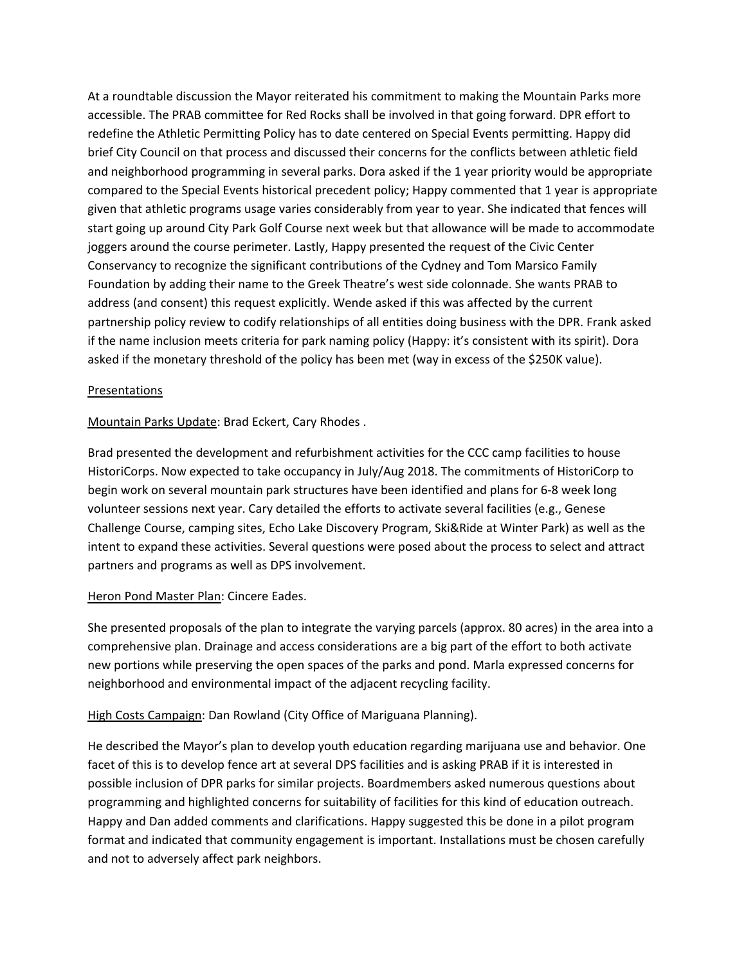At a roundtable discussion the Mayor reiterated his commitment to making the Mountain Parks more accessible. The PRAB committee for Red Rocks shall be involved in that going forward. DPR effort to redefine the Athletic Permitting Policy has to date centered on Special Events permitting. Happy did brief City Council on that process and discussed their concerns for the conflicts between athletic field and neighborhood programming in several parks. Dora asked if the 1 year priority would be appropriate compared to the Special Events historical precedent policy; Happy commented that 1 year is appropriate given that athletic programs usage varies considerably from year to year. She indicated that fences will start going up around City Park Golf Course next week but that allowance will be made to accommodate joggers around the course perimeter. Lastly, Happy presented the request of the Civic Center Conservancy to recognize the significant contributions of the Cydney and Tom Marsico Family Foundation by adding their name to the Greek Theatre's west side colonnade. She wants PRAB to address (and consent) this request explicitly. Wende asked if this was affected by the current partnership policy review to codify relationships of all entities doing business with the DPR. Frank asked if the name inclusion meets criteria for park naming policy (Happy: it's consistent with its spirit). Dora asked if the monetary threshold of the policy has been met (way in excess of the \$250K value).

### Presentations

Mountain Parks Update: Brad Eckert, Cary Rhodes .

Brad presented the development and refurbishment activities for the CCC camp facilities to house HistoriCorps. Now expected to take occupancy in July/Aug 2018. The commitments of HistoriCorp to begin work on several mountain park structures have been identified and plans for 6-8 week long volunteer sessions next year. Cary detailed the efforts to activate several facilities (e.g., Genese Challenge Course, camping sites, Echo Lake Discovery Program, Ski&Ride at Winter Park) as well as the intent to expand these activities. Several questions were posed about the process to select and attract partners and programs as well as DPS involvement.

# Heron Pond Master Plan: Cincere Eades.

She presented proposals of the plan to integrate the varying parcels (approx. 80 acres) in the area into a comprehensive plan. Drainage and access considerations are a big part of the effort to both activate new portions while preserving the open spaces of the parks and pond. Marla expressed concerns for neighborhood and environmental impact of the adjacent recycling facility.

# High Costs Campaign: Dan Rowland (City Office of Mariguana Planning).

He described the Mayor's plan to develop youth education regarding marijuana use and behavior. One facet of this is to develop fence art at several DPS facilities and is asking PRAB if it is interested in possible inclusion of DPR parks for similar projects. Boardmembers asked numerous questions about programming and highlighted concerns for suitability of facilities for this kind of education outreach. Happy and Dan added comments and clarifications. Happy suggested this be done in a pilot program format and indicated that community engagement is important. Installations must be chosen carefully and not to adversely affect park neighbors.